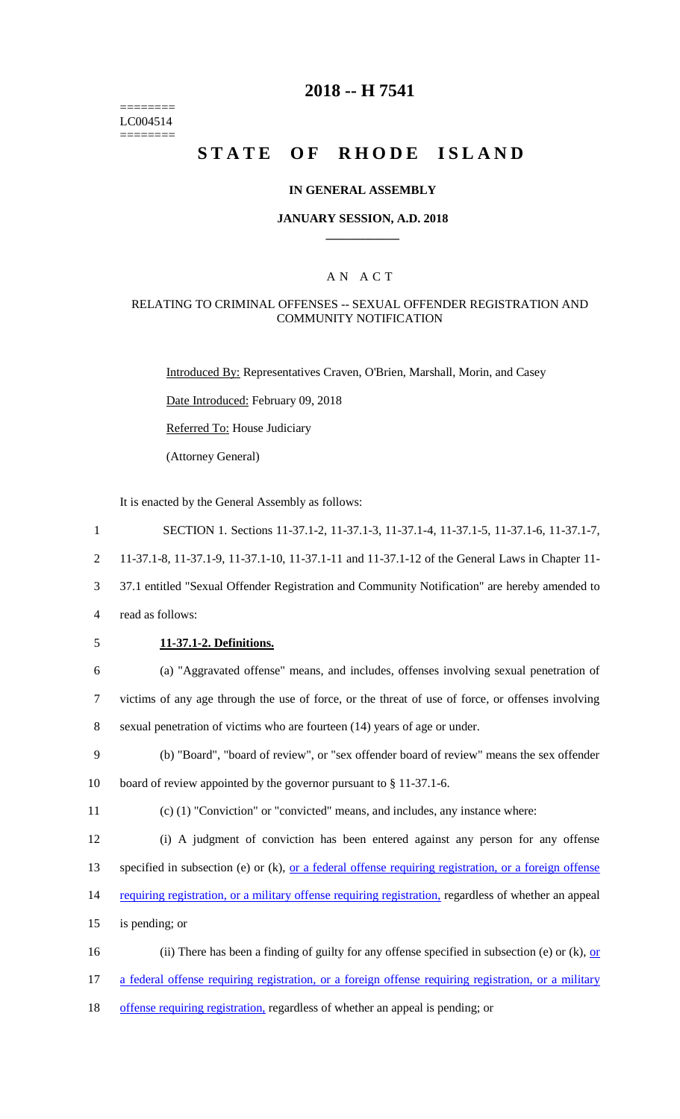======== LC004514  $=$ 

### **2018 -- H 7541**

# **STATE OF RHODE ISLAND**

### **IN GENERAL ASSEMBLY**

### **JANUARY SESSION, A.D. 2018 \_\_\_\_\_\_\_\_\_\_\_\_**

### A N A C T

### RELATING TO CRIMINAL OFFENSES -- SEXUAL OFFENDER REGISTRATION AND COMMUNITY NOTIFICATION

Introduced By: Representatives Craven, O'Brien, Marshall, Morin, and Casey

Date Introduced: February 09, 2018

Referred To: House Judiciary

(Attorney General)

It is enacted by the General Assembly as follows:

| $\mathbf{1}$   | SECTION 1. Sections 11-37.1-2, 11-37.1-3, 11-37.1-4, 11-37.1-5, 11-37.1-6, 11-37.1-7,                         |
|----------------|---------------------------------------------------------------------------------------------------------------|
| $\overline{2}$ | 11-37.1-8, 11-37.1-9, 11-37.1-10, 11-37.1-11 and 11-37.1-12 of the General Laws in Chapter 11-                |
| 3              | 37.1 entitled "Sexual Offender Registration and Community Notification" are hereby amended to                 |
| $\overline{4}$ | read as follows:                                                                                              |
| 5              | 11-37.1-2. Definitions.                                                                                       |
| 6              | (a) "Aggravated offense" means, and includes, offenses involving sexual penetration of                        |
| $\tau$         | victims of any age through the use of force, or the threat of use of force, or offenses involving             |
| 8              | sexual penetration of victims who are fourteen (14) years of age or under.                                    |
| 9              | (b) "Board", "board of review", or "sex offender board of review" means the sex offender                      |
| 10             | board of review appointed by the governor pursuant to $\S 11-37.1-6$ .                                        |
| 11             | $(c)$ (1) "Conviction" or "convicted" means, and includes, any instance where:                                |
| 12             | (i) A judgment of conviction has been entered against any person for any offense                              |
| 13             | specified in subsection (e) or (k), <u>or a federal offense requiring registration</u> , or a foreign offense |
| 14             | requiring registration, or a military offense requiring registration, regardless of whether an appeal         |
| 15             | is pending; or                                                                                                |
| 16             | (ii) There has been a finding of guilty for any offense specified in subsection (e) or (k), or                |
| 17             | a federal offense requiring registration, or a foreign offense requiring registration, or a military          |
|                |                                                                                                               |

18 offense requiring registration, regardless of whether an appeal is pending; or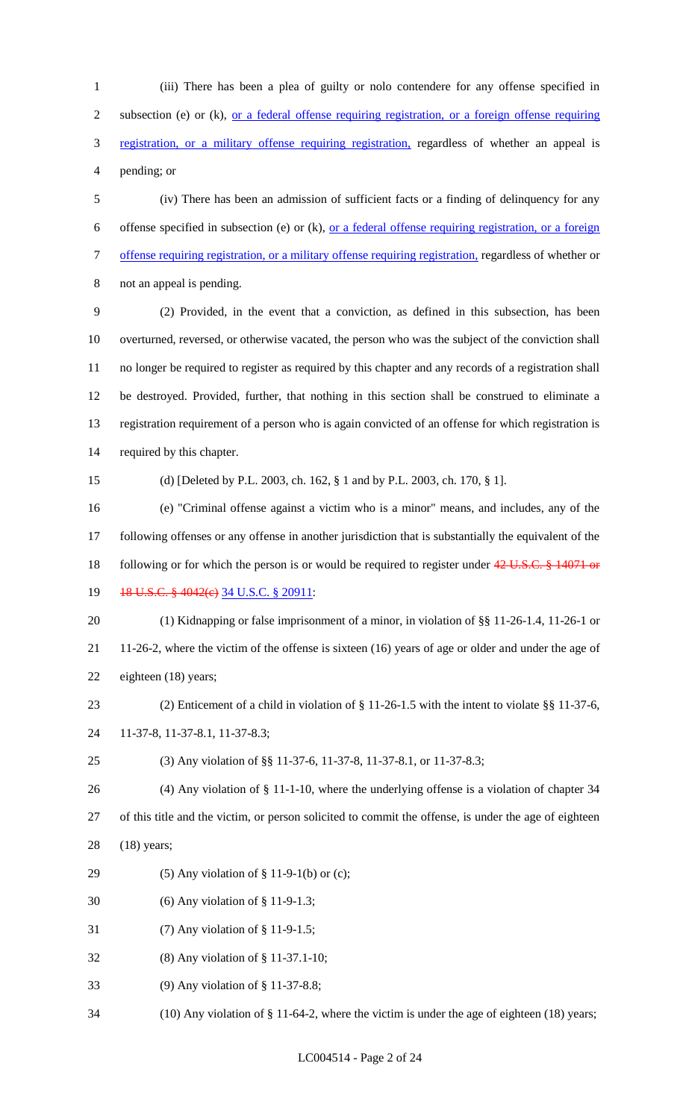(iii) There has been a plea of guilty or nolo contendere for any offense specified in subsection (e) or (k), or a federal offense requiring registration, or a foreign offense requiring registration, or a military offense requiring registration, regardless of whether an appeal is pending; or

 (iv) There has been an admission of sufficient facts or a finding of delinquency for any offense specified in subsection (e) or (k), or a federal offense requiring registration, or a foreign offense requiring registration, or a military offense requiring registration, regardless of whether or not an appeal is pending.

 (2) Provided, in the event that a conviction, as defined in this subsection, has been overturned, reversed, or otherwise vacated, the person who was the subject of the conviction shall no longer be required to register as required by this chapter and any records of a registration shall be destroyed. Provided, further, that nothing in this section shall be construed to eliminate a registration requirement of a person who is again convicted of an offense for which registration is required by this chapter.

(d) [Deleted by P.L. 2003, ch. 162, § 1 and by P.L. 2003, ch. 170, § 1].

 (e) "Criminal offense against a victim who is a minor" means, and includes, any of the following offenses or any offense in another jurisdiction that is substantially the equivalent of the 18 following or for which the person is or would be required to register under 42 U.S.C. § 14071 or

19 18 U.S.C. § 4042(e) 34 U.S.C. § 20911:

 (1) Kidnapping or false imprisonment of a minor, in violation of §§ 11-26-1.4, 11-26-1 or 11-26-2, where the victim of the offense is sixteen (16) years of age or older and under the age of eighteen (18) years;

- (2) Enticement of a child in violation of § 11-26-1.5 with the intent to violate §§ 11-37-6,
- 11-37-8, 11-37-8.1, 11-37-8.3;
- (3) Any violation of §§ 11-37-6, 11-37-8, 11-37-8.1, or 11-37-8.3;
- (4) Any violation of § 11-1-10, where the underlying offense is a violation of chapter 34
- of this title and the victim, or person solicited to commit the offense, is under the age of eighteen (18) years;
- (5) Any violation of § 11-9-1(b) or (c);
- (6) Any violation of § 11-9-1.3;
- (7) Any violation of § 11-9-1.5;
- (8) Any violation of § 11-37.1-10;
- (9) Any violation of § 11-37-8.8;
- (10) Any violation of § 11-64-2, where the victim is under the age of eighteen (18) years;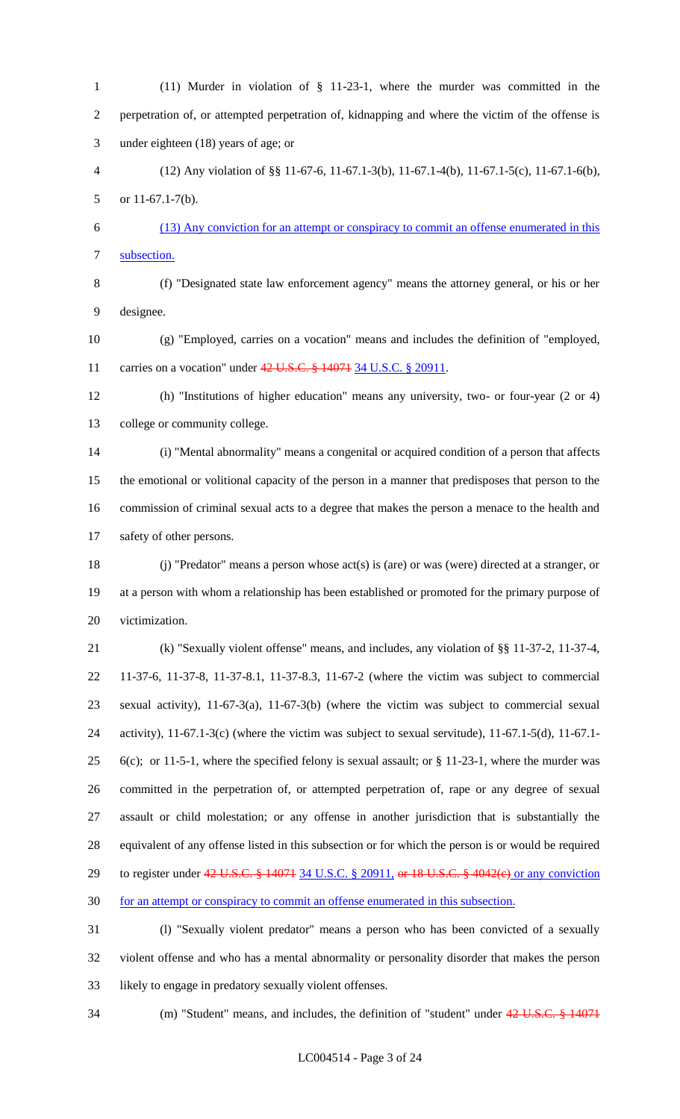(11) Murder in violation of § 11-23-1, where the murder was committed in the perpetration of, or attempted perpetration of, kidnapping and where the victim of the offense is under eighteen (18) years of age; or (12) Any violation of §§ 11-67-6, 11-67.1-3(b), 11-67.1-4(b), 11-67.1-5(c), 11-67.1-6(b), or 11-67.1-7(b). (13) Any conviction for an attempt or conspiracy to commit an offense enumerated in this subsection. (f) "Designated state law enforcement agency" means the attorney general, or his or her designee. (g) "Employed, carries on a vocation" means and includes the definition of "employed, 11 carries on a vocation" under 42 U.S.C. § 14071 34 U.S.C. § 20911. (h) "Institutions of higher education" means any university, two- or four-year (2 or 4) college or community college. (i) "Mental abnormality" means a congenital or acquired condition of a person that affects the emotional or volitional capacity of the person in a manner that predisposes that person to the commission of criminal sexual acts to a degree that makes the person a menace to the health and safety of other persons. (j) "Predator" means a person whose act(s) is (are) or was (were) directed at a stranger, or at a person with whom a relationship has been established or promoted for the primary purpose of

victimization.

 (k) "Sexually violent offense" means, and includes, any violation of §§ 11-37-2, 11-37-4, 11-37-6, 11-37-8, 11-37-8.1, 11-37-8.3, 11-67-2 (where the victim was subject to commercial sexual activity), 11-67-3(a), 11-67-3(b) (where the victim was subject to commercial sexual activity), 11-67.1-3(c) (where the victim was subject to sexual servitude), 11-67.1-5(d), 11-67.1- 25 6(c); or 11-5-1, where the specified felony is sexual assault; or  $\S$  11-23-1, where the murder was committed in the perpetration of, or attempted perpetration of, rape or any degree of sexual assault or child molestation; or any offense in another jurisdiction that is substantially the equivalent of any offense listed in this subsection or for which the person is or would be required 29 to register under 42 U.S.C. § 14071 34 U.S.C. § 20911, or 18 U.S.C. § 4042(e) or any conviction for an attempt or conspiracy to commit an offense enumerated in this subsection.

 (l) "Sexually violent predator" means a person who has been convicted of a sexually violent offense and who has a mental abnormality or personality disorder that makes the person likely to engage in predatory sexually violent offenses.

34 (m) "Student" means, and includes, the definition of "student" under 42 U.S.C. § 14071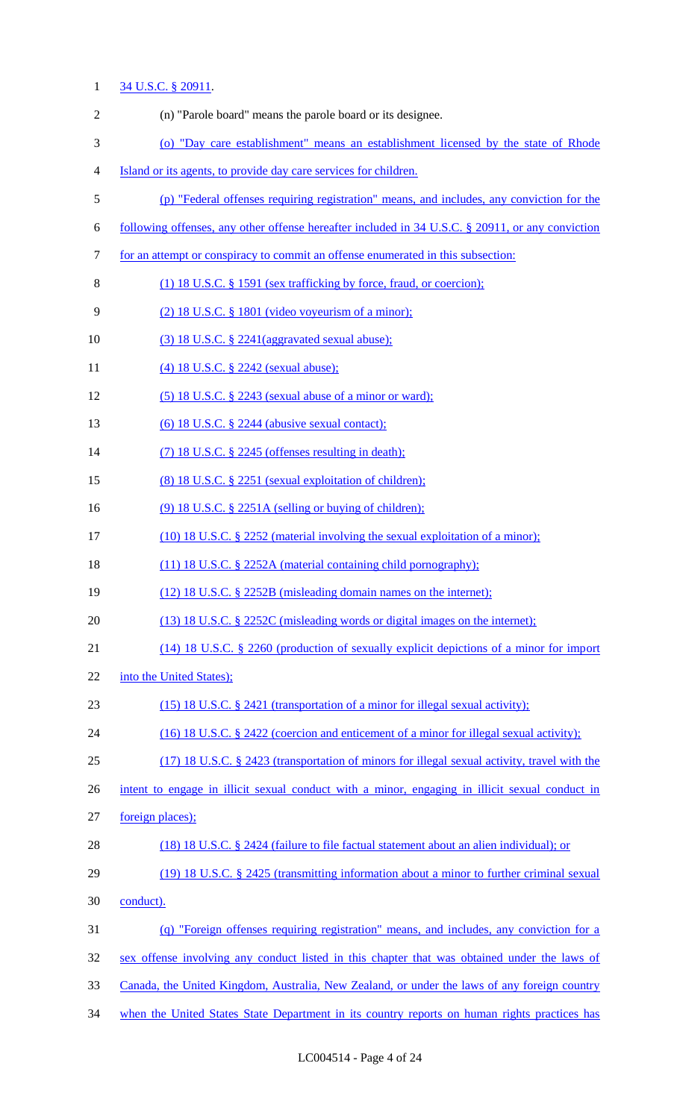# 1 34 U.S.C. § 20911.

| $\overline{2}$ | (n) "Parole board" means the parole board or its designee.                                       |
|----------------|--------------------------------------------------------------------------------------------------|
| 3              | (o) "Day care establishment" means an establishment licensed by the state of Rhode               |
| $\overline{4}$ | Island or its agents, to provide day care services for children.                                 |
| $\mathfrak{S}$ | (p) "Federal offenses requiring registration" means, and includes, any conviction for the        |
| 6              | following offenses, any other offense hereafter included in 34 U.S.C. § 20911, or any conviction |
| 7              | for an attempt or conspiracy to commit an offense enumerated in this subsection:                 |
| 8              | (1) 18 U.S.C. § 1591 (sex trafficking by force, fraud, or coercion);                             |
| 9              | $(2)$ 18 U.S.C. § 1801 (video voyeurism of a minor);                                             |
| 10             | $(3)$ 18 U.S.C. § 2241(aggravated sexual abuse);                                                 |
| 11             | (4) 18 U.S.C. § 2242 (sexual abuse);                                                             |
| 12             | $(5)$ 18 U.S.C. § 2243 (sexual abuse of a minor or ward);                                        |
| 13             | $(6)$ 18 U.S.C. § 2244 (abusive sexual contact);                                                 |
| 14             | $(7)$ 18 U.S.C. § 2245 (offenses resulting in death);                                            |
| 15             | (8) 18 U.S.C. § 2251 (sexual exploitation of children);                                          |
| 16             | $(9)$ 18 U.S.C. § 2251A (selling or buying of children);                                         |
| 17             | (10) 18 U.S.C. § 2252 (material involving the sexual exploitation of a minor);                   |
| 18             | (11) 18 U.S.C. § 2252A (material containing child pornography);                                  |
| 19             | (12) 18 U.S.C. § 2252B (misleading domain names on the internet);                                |
| 20             | (13) 18 U.S.C. § 2252C (misleading words or digital images on the internet);                     |
| 21             | $(14)$ 18 U.S.C. § 2260 (production of sexually explicit depictions of a minor for import        |
| 22             | into the United States);                                                                         |
| 23             | (15) 18 U.S.C. § 2421 (transportation of a minor for illegal sexual activity);                   |
| 24             | (16) 18 U.S.C. § 2422 (coercion and enticement of a minor for illegal sexual activity);          |
| 25             | $(17)$ 18 U.S.C. § 2423 (transportation of minors for illegal sexual activity, travel with the   |
| 26             | intent to engage in illicit sexual conduct with a minor, engaging in illicit sexual conduct in   |
| 27             | foreign places);                                                                                 |
| 28             | $(18)$ 18 U.S.C. § 2424 (failure to file factual statement about an alien individual); or        |
| 29             | (19) 18 U.S.C. § 2425 (transmitting information about a minor to further criminal sexual         |
| 30             | conduct).                                                                                        |
| 31             | (q) "Foreign offenses requiring registration" means, and includes, any conviction for a          |
| 32             | sex offense involving any conduct listed in this chapter that was obtained under the laws of     |
| 33             | Canada, the United Kingdom, Australia, New Zealand, or under the laws of any foreign country     |
| 34             | when the United States State Department in its country reports on human rights practices has     |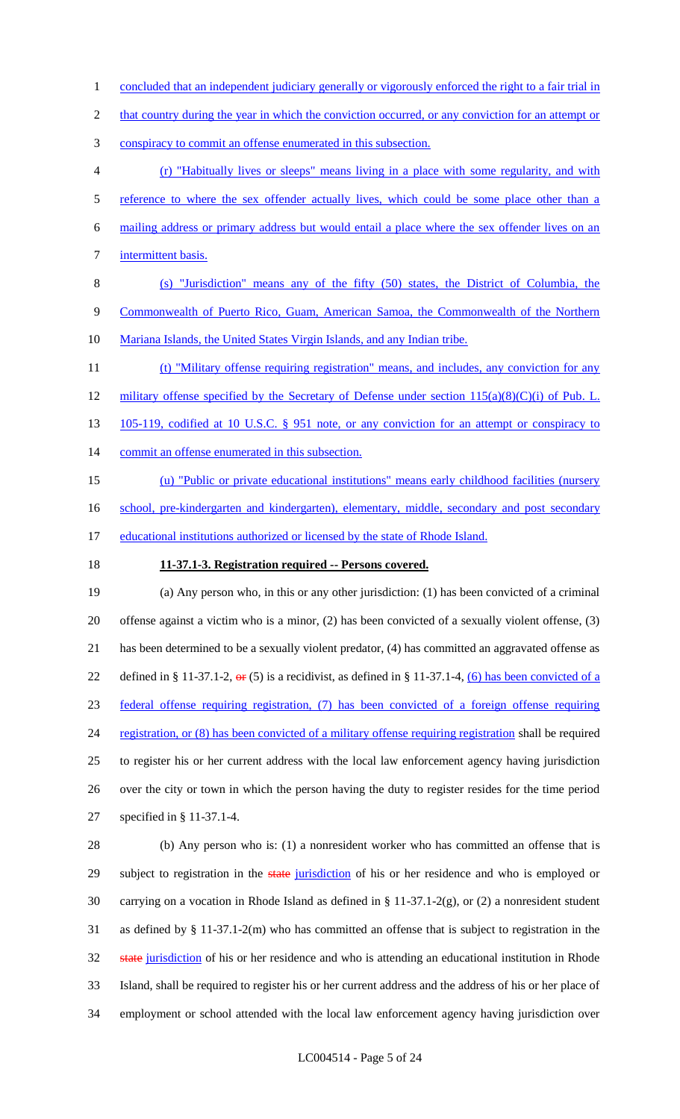1 concluded that an independent judiciary generally or vigorously enforced the right to a fair trial in

2 that country during the year in which the conviction occurred, or any conviction for an attempt or

- 3 conspiracy to commit an offense enumerated in this subsection.
- 4 (r) "Habitually lives or sleeps" means living in a place with some regularity, and with 5 reference to where the sex offender actually lives, which could be some place other than a 6 mailing address or primary address but would entail a place where the sex offender lives on an 7 intermittent basis.
- 8 (s) "Jurisdiction" means any of the fifty (50) states, the District of Columbia, the 9 Commonwealth of Puerto Rico, Guam, American Samoa, the Commonwealth of the Northern 10 Mariana Islands, the United States Virgin Islands, and any Indian tribe.
- 11 (t) "Military offense requiring registration" means, and includes, any conviction for any 12 military offense specified by the Secretary of Defense under section  $115(a)(8)(C)(i)$  of Pub. L. 13 105-119, codified at 10 U.S.C. § 951 note, or any conviction for an attempt or conspiracy to 14 commit an offense enumerated in this subsection. 15 (u) "Public or private educational institutions" means early childhood facilities (nursery
- 16 school, pre-kindergarten and kindergarten), elementary, middle, secondary and post secondary
- 17 educational institutions authorized or licensed by the state of Rhode Island.
- 

## 18 **11-37.1-3. Registration required -- Persons covered.**

 (a) Any person who, in this or any other jurisdiction: (1) has been convicted of a criminal offense against a victim who is a minor, (2) has been convicted of a sexually violent offense, (3) has been determined to be a sexually violent predator, (4) has committed an aggravated offense as 22 defined in § 11-37.1-2,  $\Theta$  (5) is a recidivist, as defined in § 11-37.1-4, (6) has been convicted of a federal offense requiring registration, (7) has been convicted of a foreign offense requiring 24 registration, or (8) has been convicted of a military offense requiring registration shall be required to register his or her current address with the local law enforcement agency having jurisdiction over the city or town in which the person having the duty to register resides for the time period specified in § 11-37.1-4.

 (b) Any person who is: (1) a nonresident worker who has committed an offense that is 29 subject to registration in the state jurisdiction of his or her residence and who is employed or carrying on a vocation in Rhode Island as defined in § 11-37.1-2(g), or (2) a nonresident student as defined by § 11-37.1-2(m) who has committed an offense that is subject to registration in the 32 state jurisdiction of his or her residence and who is attending an educational institution in Rhode Island, shall be required to register his or her current address and the address of his or her place of employment or school attended with the local law enforcement agency having jurisdiction over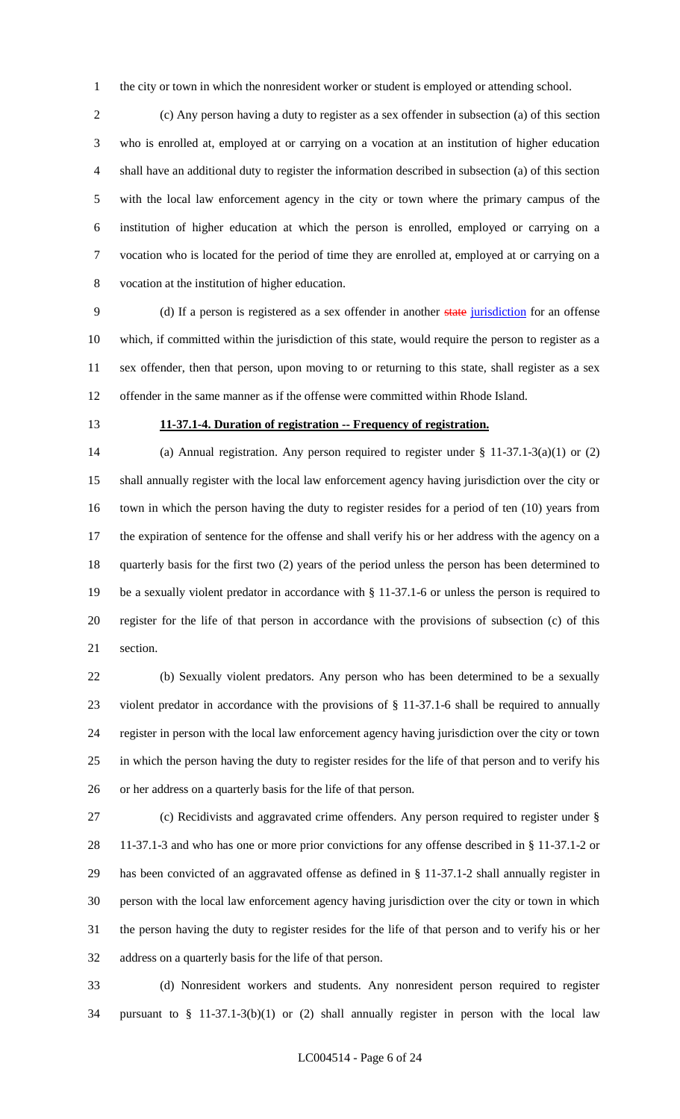1 the city or town in which the nonresident worker or student is employed or attending school.

 (c) Any person having a duty to register as a sex offender in subsection (a) of this section who is enrolled at, employed at or carrying on a vocation at an institution of higher education shall have an additional duty to register the information described in subsection (a) of this section with the local law enforcement agency in the city or town where the primary campus of the institution of higher education at which the person is enrolled, employed or carrying on a vocation who is located for the period of time they are enrolled at, employed at or carrying on a vocation at the institution of higher education.

 (d) If a person is registered as a sex offender in another state jurisdiction for an offense which, if committed within the jurisdiction of this state, would require the person to register as a sex offender, then that person, upon moving to or returning to this state, shall register as a sex offender in the same manner as if the offense were committed within Rhode Island.

### **11-37.1-4. Duration of registration -- Frequency of registration.**

 (a) Annual registration. Any person required to register under § 11-37.1-3(a)(1) or (2) shall annually register with the local law enforcement agency having jurisdiction over the city or town in which the person having the duty to register resides for a period of ten (10) years from the expiration of sentence for the offense and shall verify his or her address with the agency on a quarterly basis for the first two (2) years of the period unless the person has been determined to be a sexually violent predator in accordance with § 11-37.1-6 or unless the person is required to register for the life of that person in accordance with the provisions of subsection (c) of this section.

 (b) Sexually violent predators. Any person who has been determined to be a sexually violent predator in accordance with the provisions of § 11-37.1-6 shall be required to annually register in person with the local law enforcement agency having jurisdiction over the city or town in which the person having the duty to register resides for the life of that person and to verify his or her address on a quarterly basis for the life of that person.

 (c) Recidivists and aggravated crime offenders. Any person required to register under § 11-37.1-3 and who has one or more prior convictions for any offense described in § 11-37.1-2 or has been convicted of an aggravated offense as defined in § 11-37.1-2 shall annually register in person with the local law enforcement agency having jurisdiction over the city or town in which the person having the duty to register resides for the life of that person and to verify his or her address on a quarterly basis for the life of that person.

 (d) Nonresident workers and students. Any nonresident person required to register pursuant to § 11-37.1-3(b)(1) or (2) shall annually register in person with the local law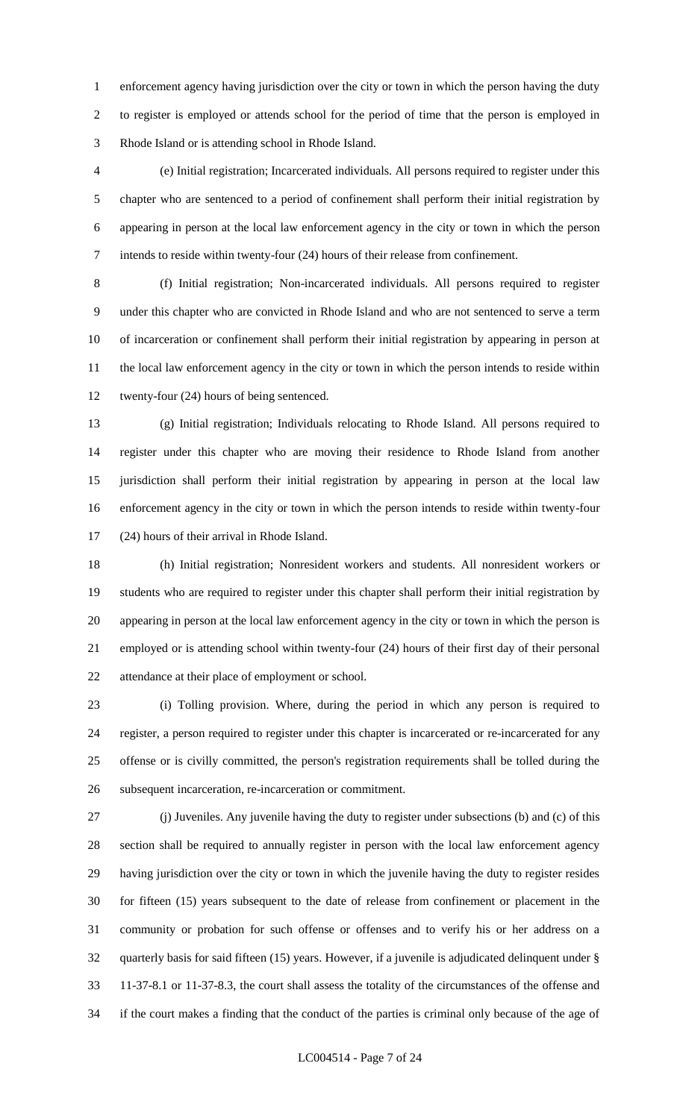enforcement agency having jurisdiction over the city or town in which the person having the duty to register is employed or attends school for the period of time that the person is employed in Rhode Island or is attending school in Rhode Island.

 (e) Initial registration; Incarcerated individuals. All persons required to register under this chapter who are sentenced to a period of confinement shall perform their initial registration by appearing in person at the local law enforcement agency in the city or town in which the person intends to reside within twenty-four (24) hours of their release from confinement.

 (f) Initial registration; Non-incarcerated individuals. All persons required to register under this chapter who are convicted in Rhode Island and who are not sentenced to serve a term of incarceration or confinement shall perform their initial registration by appearing in person at the local law enforcement agency in the city or town in which the person intends to reside within twenty-four (24) hours of being sentenced.

 (g) Initial registration; Individuals relocating to Rhode Island. All persons required to register under this chapter who are moving their residence to Rhode Island from another jurisdiction shall perform their initial registration by appearing in person at the local law enforcement agency in the city or town in which the person intends to reside within twenty-four (24) hours of their arrival in Rhode Island.

 (h) Initial registration; Nonresident workers and students. All nonresident workers or students who are required to register under this chapter shall perform their initial registration by appearing in person at the local law enforcement agency in the city or town in which the person is employed or is attending school within twenty-four (24) hours of their first day of their personal attendance at their place of employment or school.

 (i) Tolling provision. Where, during the period in which any person is required to register, a person required to register under this chapter is incarcerated or re-incarcerated for any offense or is civilly committed, the person's registration requirements shall be tolled during the subsequent incarceration, re-incarceration or commitment.

 (j) Juveniles. Any juvenile having the duty to register under subsections (b) and (c) of this section shall be required to annually register in person with the local law enforcement agency having jurisdiction over the city or town in which the juvenile having the duty to register resides for fifteen (15) years subsequent to the date of release from confinement or placement in the community or probation for such offense or offenses and to verify his or her address on a quarterly basis for said fifteen (15) years. However, if a juvenile is adjudicated delinquent under § 11-37-8.1 or 11-37-8.3, the court shall assess the totality of the circumstances of the offense and if the court makes a finding that the conduct of the parties is criminal only because of the age of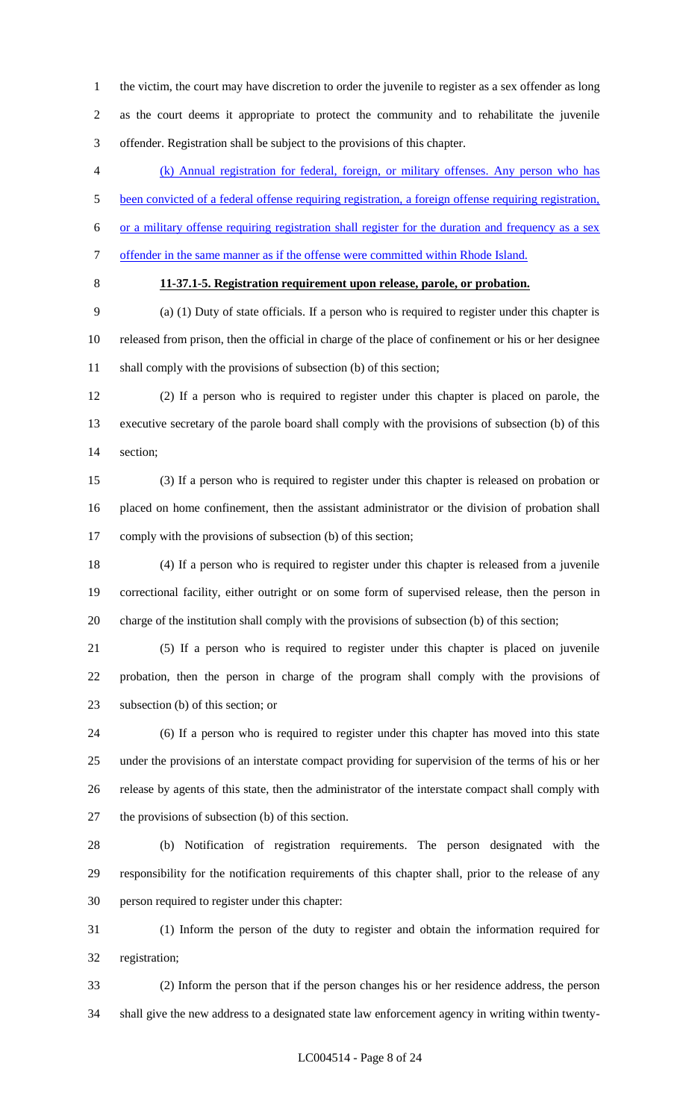the victim, the court may have discretion to order the juvenile to register as a sex offender as long as the court deems it appropriate to protect the community and to rehabilitate the juvenile offender. Registration shall be subject to the provisions of this chapter.

 (k) Annual registration for federal, foreign, or military offenses. Any person who has been convicted of a federal offense requiring registration, a foreign offense requiring registration,

or a military offense requiring registration shall register for the duration and frequency as a sex

- offender in the same manner as if the offense were committed within Rhode Island.
- 

# **11-37.1-5. Registration requirement upon release, parole, or probation.**

 (a) (1) Duty of state officials. If a person who is required to register under this chapter is released from prison, then the official in charge of the place of confinement or his or her designee 11 shall comply with the provisions of subsection (b) of this section;

 (2) If a person who is required to register under this chapter is placed on parole, the executive secretary of the parole board shall comply with the provisions of subsection (b) of this section;

 (3) If a person who is required to register under this chapter is released on probation or placed on home confinement, then the assistant administrator or the division of probation shall comply with the provisions of subsection (b) of this section;

 (4) If a person who is required to register under this chapter is released from a juvenile correctional facility, either outright or on some form of supervised release, then the person in charge of the institution shall comply with the provisions of subsection (b) of this section;

 (5) If a person who is required to register under this chapter is placed on juvenile probation, then the person in charge of the program shall comply with the provisions of subsection (b) of this section; or

 (6) If a person who is required to register under this chapter has moved into this state under the provisions of an interstate compact providing for supervision of the terms of his or her release by agents of this state, then the administrator of the interstate compact shall comply with the provisions of subsection (b) of this section.

 (b) Notification of registration requirements. The person designated with the responsibility for the notification requirements of this chapter shall, prior to the release of any person required to register under this chapter:

 (1) Inform the person of the duty to register and obtain the information required for registration;

 (2) Inform the person that if the person changes his or her residence address, the person shall give the new address to a designated state law enforcement agency in writing within twenty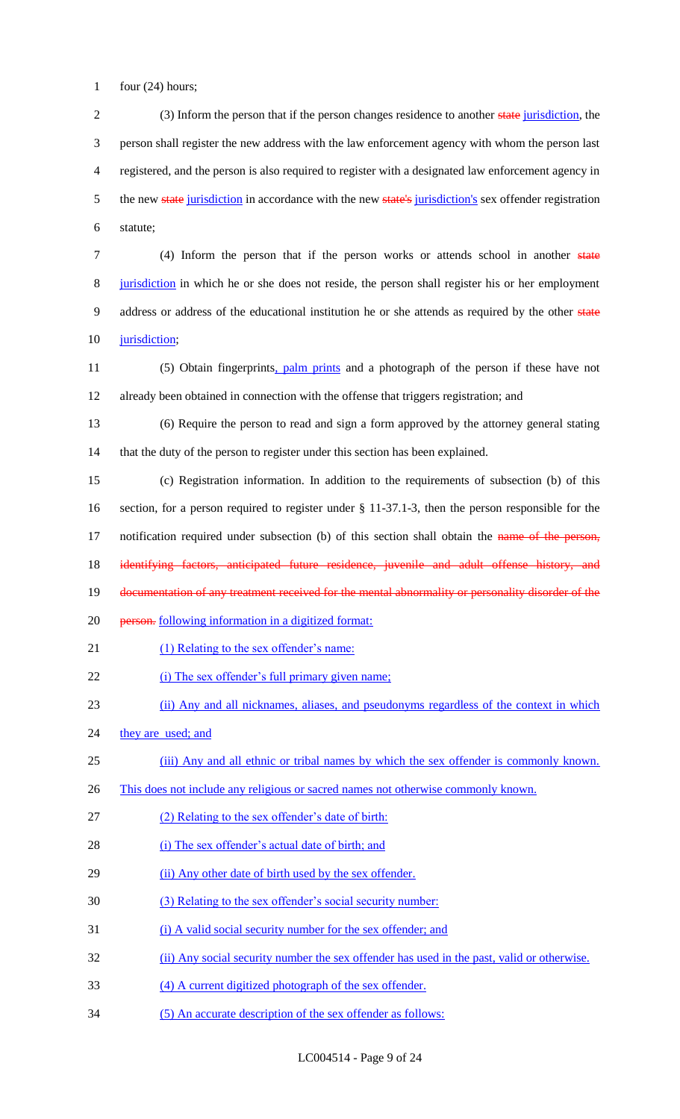1 four  $(24)$  hours;

2 (3) Inform the person that if the person changes residence to another state jurisdiction, the 3 person shall register the new address with the law enforcement agency with whom the person last 4 registered, and the person is also required to register with a designated law enforcement agency in 5 the new state jurisdiction in accordance with the new state's jurisdiction's sex offender registration 6 statute;

7 (4) Inform the person that if the person works or attends school in another state 8 jurisdiction in which he or she does not reside, the person shall register his or her employment 9 address or address of the educational institution he or she attends as required by the other state 10 jurisdiction;

11 (5) Obtain fingerprints, palm prints and a photograph of the person if these have not 12 already been obtained in connection with the offense that triggers registration; and

13 (6) Require the person to read and sign a form approved by the attorney general stating 14 that the duty of the person to register under this section has been explained.

15 (c) Registration information. In addition to the requirements of subsection (b) of this 16 section, for a person required to register under § 11-37.1-3, then the person responsible for the 17 notification required under subsection (b) of this section shall obtain the name of the person, 18 identifying factors, anticipated future residence, juvenile and adult offense history, and 19 documentation of any treatment received for the mental abnormality or personality disorder of the

- 20 <del>person.</del> following information in a digitized format:
- 21 (1) Relating to the sex offender's name:
- 22 (i) The sex offender's full primary given name;
- 23 (ii) Any and all nicknames, aliases, and pseudonyms regardless of the context in which
- 24 they are used; and
- 25 (iii) Any and all ethnic or tribal names by which the sex offender is commonly known.
- 26 This does not include any religious or sacred names not otherwise commonly known.
- 27 (2) Relating to the sex offender's date of birth:
- 28 (i) The sex offender's actual date of birth; and
- 29 (ii) Any other date of birth used by the sex offender.
- 30 (3) Relating to the sex offender's social security number:
- 31 (i) A valid social security number for the sex offender; and
- 32 (ii) Any social security number the sex offender has used in the past, valid or otherwise.
- 33 (4) A current digitized photograph of the sex offender.
- 34 (5) An accurate description of the sex offender as follows: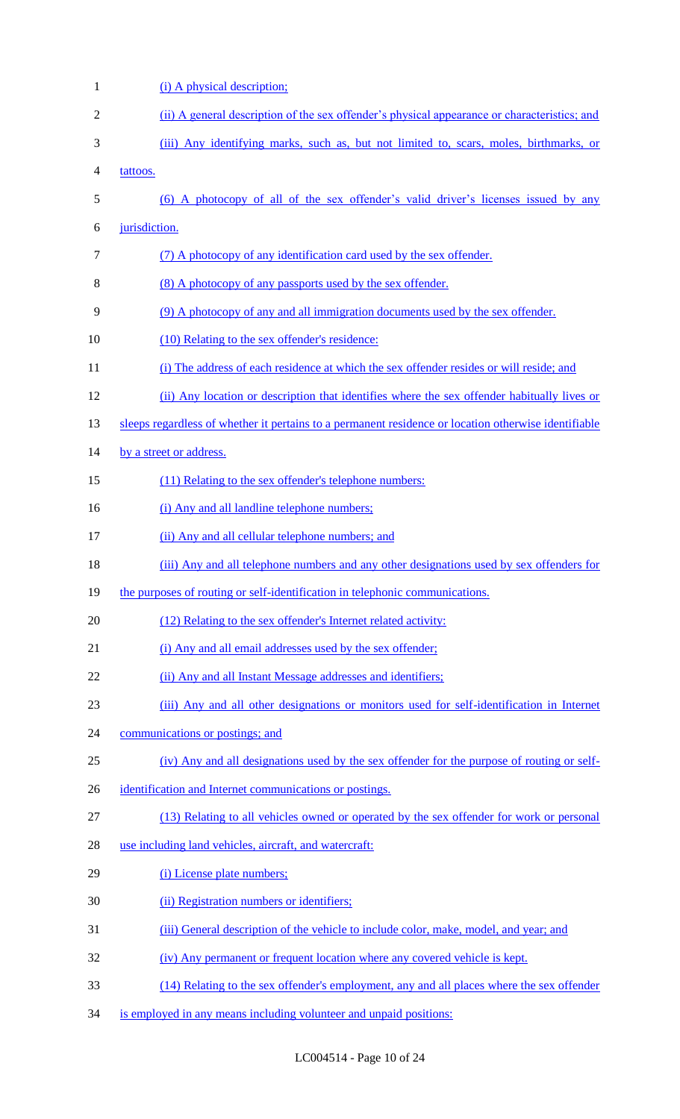| $\mathbf{1}$ | (i) A physical description;                                                                          |
|--------------|------------------------------------------------------------------------------------------------------|
| 2            | (ii) A general description of the sex offender's physical appearance or characteristics; and         |
| 3            | (iii) Any identifying marks, such as, but not limited to, scars, moles, birthmarks, or               |
| 4            | tattoos.                                                                                             |
| 5            | (6) A photocopy of all of the sex offender's valid driver's licenses issued by any                   |
| 6            | jurisdiction.                                                                                        |
| 7            | (7) A photocopy of any identification card used by the sex offender.                                 |
| 8            | <u>(8) A photocopy of any passports used by the sex offender.</u>                                    |
| 9            | (9) A photocopy of any and all immigration documents used by the sex offender.                       |
| 10           | (10) Relating to the sex offender's residence:                                                       |
| 11           | (i) The address of each residence at which the sex offender resides or will reside; and              |
| 12           | (ii) Any location or description that identifies where the sex offender habitually lives or          |
| 13           | sleeps regardless of whether it pertains to a permanent residence or location otherwise identifiable |
| 14           | by a street or address.                                                                              |
| 15           | (11) Relating to the sex offender's telephone numbers:                                               |
| 16           | (i) Any and all landline telephone numbers;                                                          |
| 17           | (ii) Any and all cellular telephone numbers; and                                                     |
| 18           | (iii) Any and all telephone numbers and any other designations used by sex offenders for             |
| 19           | the purposes of routing or self-identification in telephonic communications.                         |
| 20           | (12) Relating to the sex offender's Internet related activity:                                       |
| 21           | (i) Any and all email addresses used by the sex offender;                                            |
| 22           | (ii) Any and all Instant Message addresses and identifiers;                                          |
| 23           | (iii) Any and all other designations or monitors used for self-identification in Internet            |
| 24           | communications or postings; and                                                                      |
| 25           | (iv) Any and all designations used by the sex offender for the purpose of routing or self-           |
| 26           | identification and Internet communications or postings.                                              |
| 27           | (13) Relating to all vehicles owned or operated by the sex offender for work or personal             |
| 28           | use including land vehicles, aircraft, and watercraft:                                               |
| 29           | (i) License plate numbers;                                                                           |
| 30           | (ii) Registration numbers or identifiers;                                                            |
| 31           | (iii) General description of the vehicle to include color, make, model, and year; and                |
| 32           | (iv) Any permanent or frequent location where any covered vehicle is kept.                           |
| 33           | (14) Relating to the sex offender's employment, any and all places where the sex offender            |
| 34           | is employed in any means including volunteer and unpaid positions:                                   |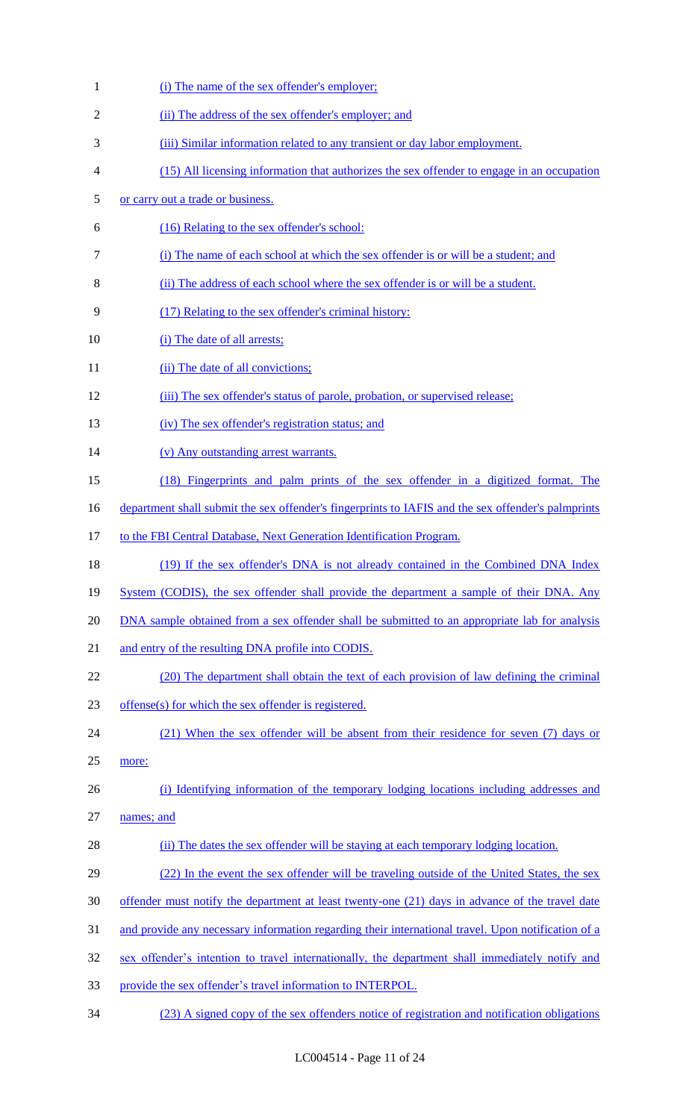| $\mathbf{1}$ | (i) The name of the sex offender's employer;                                                       |
|--------------|----------------------------------------------------------------------------------------------------|
| 2            | (ii) The address of the sex offender's employer; and                                               |
| 3            | (iii) Similar information related to any transient or day labor employment.                        |
| 4            | (15) All licensing information that authorizes the sex offender to engage in an occupation         |
| 5            | or carry out a trade or business.                                                                  |
| 6            | (16) Relating to the sex offender's school:                                                        |
| 7            | (i) The name of each school at which the sex offender is or will be a student; and                 |
| 8            | (ii) The address of each school where the sex offender is or will be a student.                    |
| 9            | (17) Relating to the sex offender's criminal history:                                              |
| 10           | (i) The date of all arrests;                                                                       |
| 11           | (ii) The date of all convictions;                                                                  |
| 12           | (iii) The sex offender's status of parole, probation, or supervised release;                       |
| 13           | (iv) The sex offender's registration status; and                                                   |
| 14           | (v) Any outstanding arrest warrants.                                                               |
| 15           | (18) Fingerprints and palm prints of the sex offender in a digitized format. The                   |
| 16           | department shall submit the sex offender's fingerprints to IAFIS and the sex offender's palmprints |
| 17           | to the FBI Central Database, Next Generation Identification Program.                               |
| 18           | (19) If the sex offender's DNA is not already contained in the Combined DNA Index                  |
| 19           | System (CODIS), the sex offender shall provide the department a sample of their DNA. Any           |
| 20           | DNA sample obtained from a sex offender shall be submitted to an appropriate lab for analysis      |
| 21           | and entry of the resulting DNA profile into CODIS.                                                 |
| 22           | (20) The department shall obtain the text of each provision of law defining the criminal           |
| 23           | offense(s) for which the sex offender is registered.                                               |
| 24           | (21) When the sex offender will be absent from their residence for seven (7) days or               |
| 25           | more:                                                                                              |
| 26           | (i) Identifying information of the temporary lodging locations including addresses and             |
| 27           | names; and                                                                                         |
| 28           | (ii) The dates the sex offender will be staying at each temporary lodging location.                |
| 29           | (22) In the event the sex offender will be traveling outside of the United States, the sex         |
| 30           | offender must notify the department at least twenty-one (21) days in advance of the travel date    |
| 31           | and provide any necessary information regarding their international travel. Upon notification of a |
| 32           | sex offender's intention to travel internationally, the department shall immediately notify and    |
| 33           | provide the sex offender's travel information to INTERPOL.                                         |
| 34           | (23) A signed copy of the sex offenders notice of registration and notification obligations        |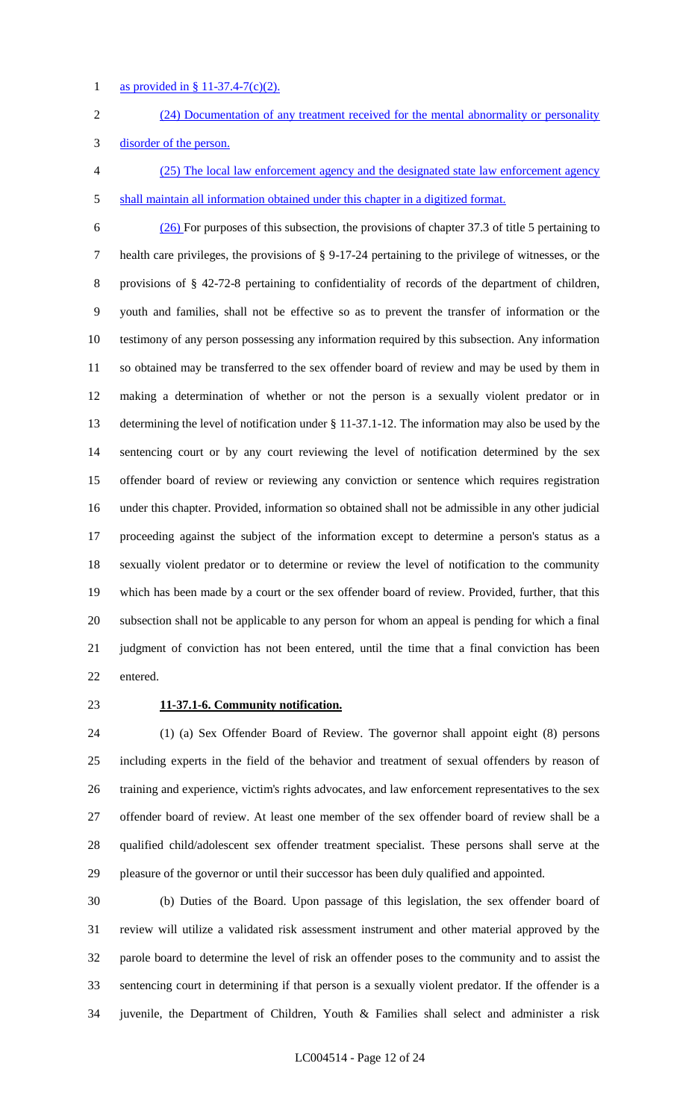as provided in § 11-37.4-7(c)(2).

- (24) Documentation of any treatment received for the mental abnormality or personality
- disorder of the person.
- (25) The local law enforcement agency and the designated state law enforcement agency shall maintain all information obtained under this chapter in a digitized format.

 (26) For purposes of this subsection, the provisions of chapter 37.3 of title 5 pertaining to health care privileges, the provisions of § 9-17-24 pertaining to the privilege of witnesses, or the provisions of § 42-72-8 pertaining to confidentiality of records of the department of children, youth and families, shall not be effective so as to prevent the transfer of information or the testimony of any person possessing any information required by this subsection. Any information so obtained may be transferred to the sex offender board of review and may be used by them in making a determination of whether or not the person is a sexually violent predator or in determining the level of notification under § 11-37.1-12. The information may also be used by the sentencing court or by any court reviewing the level of notification determined by the sex offender board of review or reviewing any conviction or sentence which requires registration under this chapter. Provided, information so obtained shall not be admissible in any other judicial proceeding against the subject of the information except to determine a person's status as a sexually violent predator or to determine or review the level of notification to the community which has been made by a court or the sex offender board of review. Provided, further, that this subsection shall not be applicable to any person for whom an appeal is pending for which a final judgment of conviction has not been entered, until the time that a final conviction has been entered.

### **11-37.1-6. Community notification.**

 (1) (a) Sex Offender Board of Review. The governor shall appoint eight (8) persons including experts in the field of the behavior and treatment of sexual offenders by reason of training and experience, victim's rights advocates, and law enforcement representatives to the sex offender board of review. At least one member of the sex offender board of review shall be a qualified child/adolescent sex offender treatment specialist. These persons shall serve at the pleasure of the governor or until their successor has been duly qualified and appointed.

 (b) Duties of the Board. Upon passage of this legislation, the sex offender board of review will utilize a validated risk assessment instrument and other material approved by the parole board to determine the level of risk an offender poses to the community and to assist the sentencing court in determining if that person is a sexually violent predator. If the offender is a juvenile, the Department of Children, Youth & Families shall select and administer a risk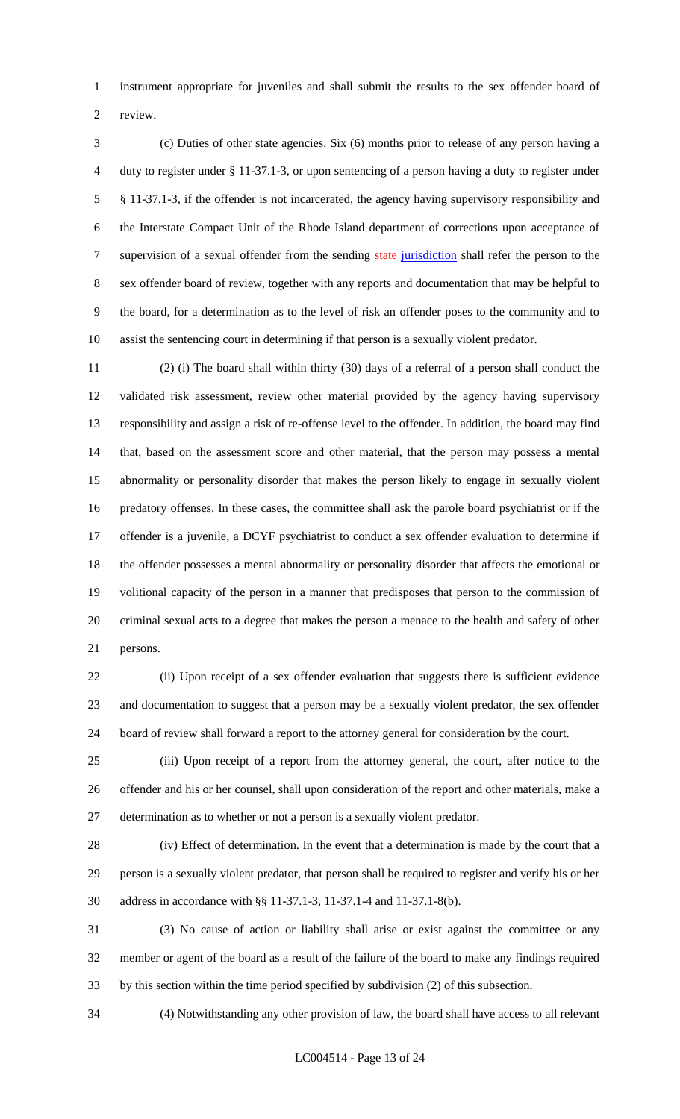instrument appropriate for juveniles and shall submit the results to the sex offender board of review.

 (c) Duties of other state agencies. Six (6) months prior to release of any person having a duty to register under § 11-37.1-3, or upon sentencing of a person having a duty to register under § 11-37.1-3, if the offender is not incarcerated, the agency having supervisory responsibility and the Interstate Compact Unit of the Rhode Island department of corrections upon acceptance of 7 supervision of a sexual offender from the sending state jurisdiction shall refer the person to the sex offender board of review, together with any reports and documentation that may be helpful to the board, for a determination as to the level of risk an offender poses to the community and to assist the sentencing court in determining if that person is a sexually violent predator.

 (2) (i) The board shall within thirty (30) days of a referral of a person shall conduct the validated risk assessment, review other material provided by the agency having supervisory responsibility and assign a risk of re-offense level to the offender. In addition, the board may find that, based on the assessment score and other material, that the person may possess a mental abnormality or personality disorder that makes the person likely to engage in sexually violent predatory offenses. In these cases, the committee shall ask the parole board psychiatrist or if the offender is a juvenile, a DCYF psychiatrist to conduct a sex offender evaluation to determine if the offender possesses a mental abnormality or personality disorder that affects the emotional or volitional capacity of the person in a manner that predisposes that person to the commission of criminal sexual acts to a degree that makes the person a menace to the health and safety of other persons.

 (ii) Upon receipt of a sex offender evaluation that suggests there is sufficient evidence and documentation to suggest that a person may be a sexually violent predator, the sex offender board of review shall forward a report to the attorney general for consideration by the court.

 (iii) Upon receipt of a report from the attorney general, the court, after notice to the offender and his or her counsel, shall upon consideration of the report and other materials, make a determination as to whether or not a person is a sexually violent predator.

 (iv) Effect of determination. In the event that a determination is made by the court that a person is a sexually violent predator, that person shall be required to register and verify his or her address in accordance with §§ 11-37.1-3, 11-37.1-4 and 11-37.1-8(b).

 (3) No cause of action or liability shall arise or exist against the committee or any member or agent of the board as a result of the failure of the board to make any findings required by this section within the time period specified by subdivision (2) of this subsection.

(4) Notwithstanding any other provision of law, the board shall have access to all relevant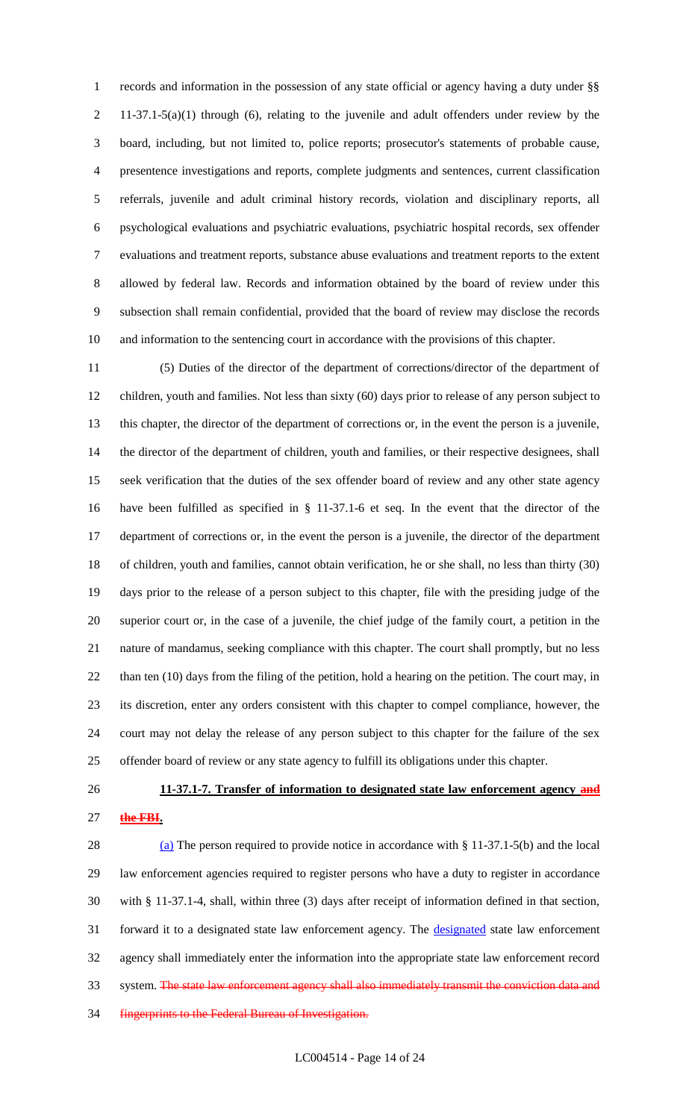records and information in the possession of any state official or agency having a duty under §§ 11-37.1-5(a)(1) through (6), relating to the juvenile and adult offenders under review by the board, including, but not limited to, police reports; prosecutor's statements of probable cause, presentence investigations and reports, complete judgments and sentences, current classification referrals, juvenile and adult criminal history records, violation and disciplinary reports, all psychological evaluations and psychiatric evaluations, psychiatric hospital records, sex offender evaluations and treatment reports, substance abuse evaluations and treatment reports to the extent allowed by federal law. Records and information obtained by the board of review under this subsection shall remain confidential, provided that the board of review may disclose the records and information to the sentencing court in accordance with the provisions of this chapter.

 (5) Duties of the director of the department of corrections/director of the department of children, youth and families. Not less than sixty (60) days prior to release of any person subject to this chapter, the director of the department of corrections or, in the event the person is a juvenile, the director of the department of children, youth and families, or their respective designees, shall seek verification that the duties of the sex offender board of review and any other state agency have been fulfilled as specified in § 11-37.1-6 et seq. In the event that the director of the department of corrections or, in the event the person is a juvenile, the director of the department of children, youth and families, cannot obtain verification, he or she shall, no less than thirty (30) days prior to the release of a person subject to this chapter, file with the presiding judge of the superior court or, in the case of a juvenile, the chief judge of the family court, a petition in the nature of mandamus, seeking compliance with this chapter. The court shall promptly, but no less than ten (10) days from the filing of the petition, hold a hearing on the petition. The court may, in its discretion, enter any orders consistent with this chapter to compel compliance, however, the court may not delay the release of any person subject to this chapter for the failure of the sex offender board of review or any state agency to fulfill its obligations under this chapter.

# **11-37.1-7. Transfer of information to designated state law enforcement agency and the FBI.**

 (a) The person required to provide notice in accordance with § 11-37.1-5(b) and the local law enforcement agencies required to register persons who have a duty to register in accordance with § 11-37.1-4, shall, within three (3) days after receipt of information defined in that section, 31 forward it to a designated state law enforcement agency. The **designated** state law enforcement agency shall immediately enter the information into the appropriate state law enforcement record 33 system. The state law enforcement agency shall also immediately transmit the conviction data and fingerprints to the Federal Bureau of Investigation.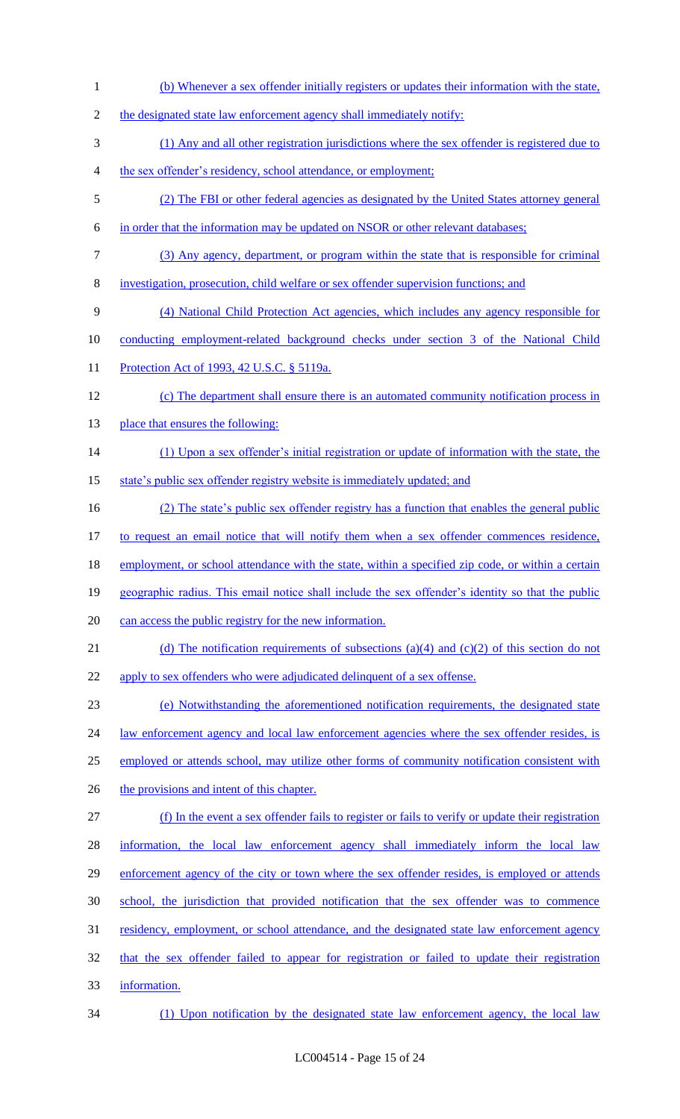(b) Whenever a sex offender initially registers or updates their information with the state, 2 the designated state law enforcement agency shall immediately notify: (1) Any and all other registration jurisdictions where the sex offender is registered due to the sex offender's residency, school attendance, or employment; (2) The FBI or other federal agencies as designated by the United States attorney general in order that the information may be updated on NSOR or other relevant databases; (3) Any agency, department, or program within the state that is responsible for criminal investigation, prosecution, child welfare or sex offender supervision functions; and (4) National Child Protection Act agencies, which includes any agency responsible for conducting employment-related background checks under section 3 of the National Child 11 Protection Act of 1993, 42 U.S.C. § 5119a. (c) The department shall ensure there is an automated community notification process in 13 place that ensures the following: (1) Upon a sex offender's initial registration or update of information with the state, the 15 state's public sex offender registry website is immediately updated; and (2) The state's public sex offender registry has a function that enables the general public to request an email notice that will notify them when a sex offender commences residence, 18 employment, or school attendance with the state, within a specified zip code, or within a certain geographic radius. This email notice shall include the sex offender's identity so that the public can access the public registry for the new information. 21 (d) The notification requirements of subsections (a)(4) and (c)(2) of this section do not 22 apply to sex offenders who were adjudicated delinquent of a sex offense. (e) Notwithstanding the aforementioned notification requirements, the designated state 24 law enforcement agency and local law enforcement agencies where the sex offender resides, is employed or attends school, may utilize other forms of community notification consistent with 26 the provisions and intent of this chapter. (f) In the event a sex offender fails to register or fails to verify or update their registration 28 information, the local law enforcement agency shall immediately inform the local law 29 enforcement agency of the city or town where the sex offender resides, is employed or attends school, the jurisdiction that provided notification that the sex offender was to commence residency, employment, or school attendance, and the designated state law enforcement agency that the sex offender failed to appear for registration or failed to update their registration information.

(1) Upon notification by the designated state law enforcement agency, the local law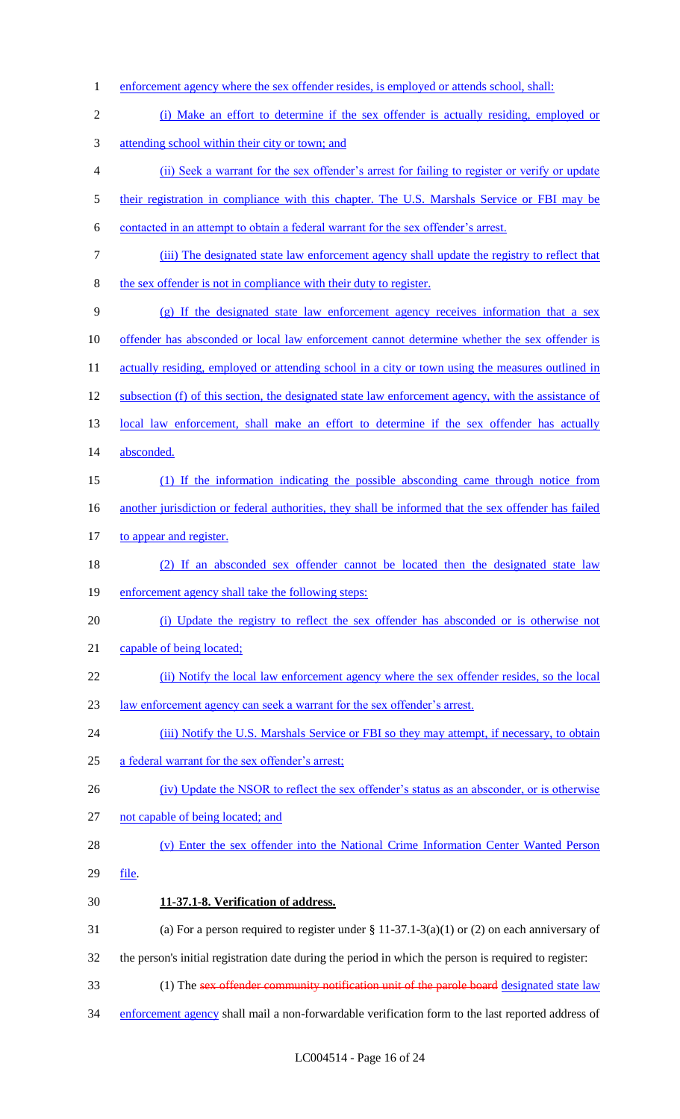enforcement agency where the sex offender resides, is employed or attends school, shall: (i) Make an effort to determine if the sex offender is actually residing, employed or attending school within their city or town; and (ii) Seek a warrant for the sex offender's arrest for failing to register or verify or update 5 their registration in compliance with this chapter. The U.S. Marshals Service or FBI may be contacted in an attempt to obtain a federal warrant for the sex offender's arrest. (iii) The designated state law enforcement agency shall update the registry to reflect that the sex offender is not in compliance with their duty to register. (g) If the designated state law enforcement agency receives information that a sex offender has absconded or local law enforcement cannot determine whether the sex offender is 11 actually residing, employed or attending school in a city or town using the measures outlined in subsection (f) of this section, the designated state law enforcement agency, with the assistance of 13 local law enforcement, shall make an effort to determine if the sex offender has actually absconded. (1) If the information indicating the possible absconding came through notice from 16 another jurisdiction or federal authorities, they shall be informed that the sex offender has failed 17 to appear and register. (2) If an absconded sex offender cannot be located then the designated state law enforcement agency shall take the following steps: (i) Update the registry to reflect the sex offender has absconded or is otherwise not 21 capable of being located; (ii) Notify the local law enforcement agency where the sex offender resides, so the local law enforcement agency can seek a warrant for the sex offender's arrest. 24 (iii) Notify the U.S. Marshals Service or FBI so they may attempt, if necessary, to obtain a federal warrant for the sex offender's arrest; 26 (iv) Update the NSOR to reflect the sex offender's status as an absconder, or is otherwise not capable of being located; and (v) Enter the sex offender into the National Crime Information Center Wanted Person file. **11-37.1-8. Verification of address.** 31 (a) For a person required to register under  $\S 11-37.1-3(a)(1)$  or (2) on each anniversary of the person's initial registration date during the period in which the person is required to register: 33 (1) The sex offender community notification unit of the parole board designated state law 34 enforcement agency shall mail a non-forwardable verification form to the last reported address of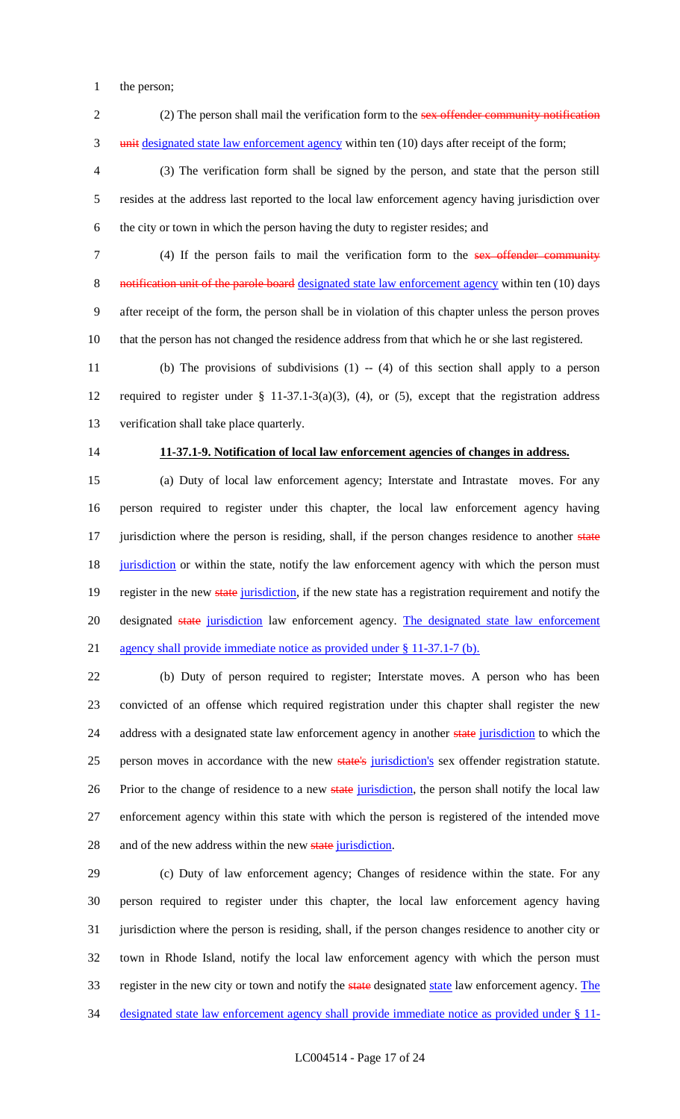- the person;
- 2 (2) The person shall mail the verification form to the sex offender community notification 3 unit designated state law enforcement agency within ten (10) days after receipt of the form;

 (3) The verification form shall be signed by the person, and state that the person still resides at the address last reported to the local law enforcement agency having jurisdiction over the city or town in which the person having the duty to register resides; and

 (4) If the person fails to mail the verification form to the sex offender community 8 notification unit of the parole board designated state law enforcement agency within ten (10) days after receipt of the form, the person shall be in violation of this chapter unless the person proves that the person has not changed the residence address from that which he or she last registered.

 (b) The provisions of subdivisions (1) -- (4) of this section shall apply to a person required to register under § 11-37.1-3(a)(3), (4), or (5), except that the registration address verification shall take place quarterly.

### **11-37.1-9. Notification of local law enforcement agencies of changes in address.**

 (a) Duty of local law enforcement agency; Interstate and Intrastate moves. For any person required to register under this chapter, the local law enforcement agency having 17 jurisdiction where the person is residing, shall, if the person changes residence to another state 18 jurisdiction or within the state, notify the law enforcement agency with which the person must 19 register in the new state jurisdiction, if the new state has a registration requirement and notify the 20 designated state jurisdiction law enforcement agency. The designated state law enforcement agency shall provide immediate notice as provided under § 11-37.1-7 (b).

 (b) Duty of person required to register; Interstate moves. A person who has been convicted of an offense which required registration under this chapter shall register the new 24 address with a designated state law enforcement agency in another state jurisdiction to which the 25 person moves in accordance with the new state's jurisdiction's sex offender registration statute. 26 Prior to the change of residence to a new state jurisdiction, the person shall notify the local law enforcement agency within this state with which the person is registered of the intended move 28 and of the new address within the new state jurisdiction.

 (c) Duty of law enforcement agency; Changes of residence within the state. For any person required to register under this chapter, the local law enforcement agency having jurisdiction where the person is residing, shall, if the person changes residence to another city or town in Rhode Island, notify the local law enforcement agency with which the person must 33 register in the new city or town and notify the state designated state law enforcement agency. The designated state law enforcement agency shall provide immediate notice as provided under § 11-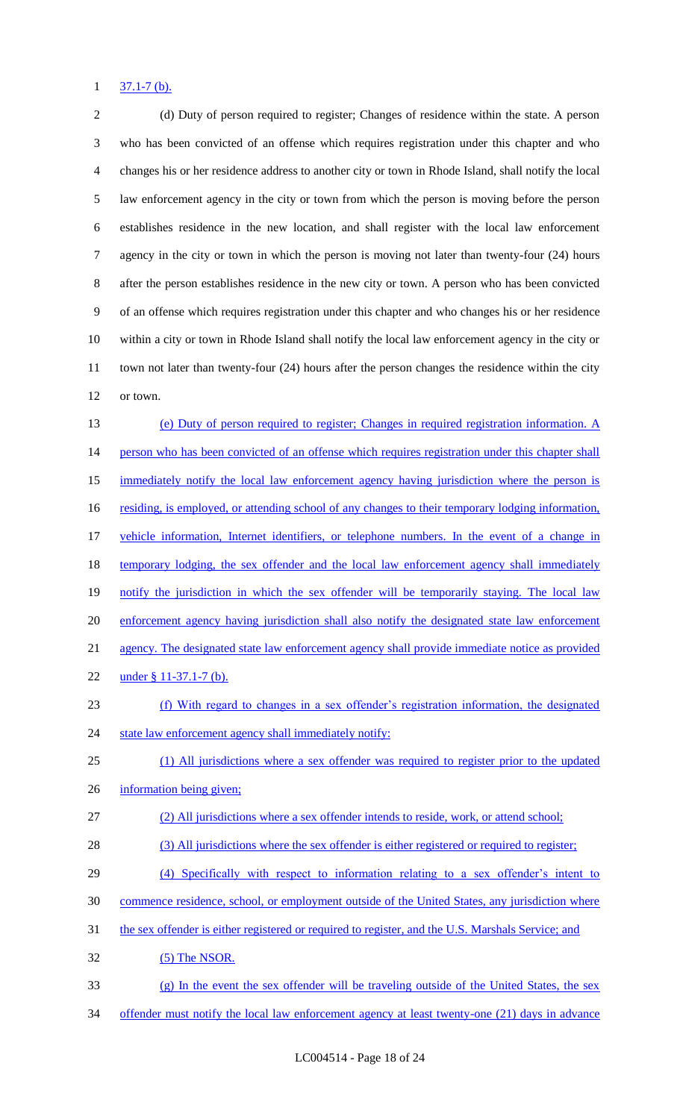#### $1 \frac{37.1 - 7(b)}{b}$ .

 (d) Duty of person required to register; Changes of residence within the state. A person who has been convicted of an offense which requires registration under this chapter and who changes his or her residence address to another city or town in Rhode Island, shall notify the local law enforcement agency in the city or town from which the person is moving before the person establishes residence in the new location, and shall register with the local law enforcement agency in the city or town in which the person is moving not later than twenty-four (24) hours after the person establishes residence in the new city or town. A person who has been convicted of an offense which requires registration under this chapter and who changes his or her residence within a city or town in Rhode Island shall notify the local law enforcement agency in the city or town not later than twenty-four (24) hours after the person changes the residence within the city or town. (e) Duty of person required to register; Changes in required registration information. A 14 person who has been convicted of an offense which requires registration under this chapter shall 15 immediately notify the local law enforcement agency having jurisdiction where the person is 16 residing, is employed, or attending school of any changes to their temporary lodging information, vehicle information, Internet identifiers, or telephone numbers. In the event of a change in 18 temporary lodging, the sex offender and the local law enforcement agency shall immediately 19 notify the jurisdiction in which the sex offender will be temporarily staying. The local law enforcement agency having jurisdiction shall also notify the designated state law enforcement

agency. The designated state law enforcement agency shall provide immediate notice as provided

- 22 under § 11-37.1-7 (b).
- (f) With regard to changes in a sex offender's registration information, the designated 24 state law enforcement agency shall immediately notify:
- (1) All jurisdictions where a sex offender was required to register prior to the updated

information being given;

- (2) All jurisdictions where a sex offender intends to reside, work, or attend school;
- 28 (3) All jurisdictions where the sex offender is either registered or required to register;
- (4) Specifically with respect to information relating to a sex offender's intent to
- commence residence, school, or employment outside of the United States, any jurisdiction where
- the sex offender is either registered or required to register, and the U.S. Marshals Service; and
- (5) The NSOR.
- (g) In the event the sex offender will be traveling outside of the United States, the sex
- 34 offender must notify the local law enforcement agency at least twenty-one (21) days in advance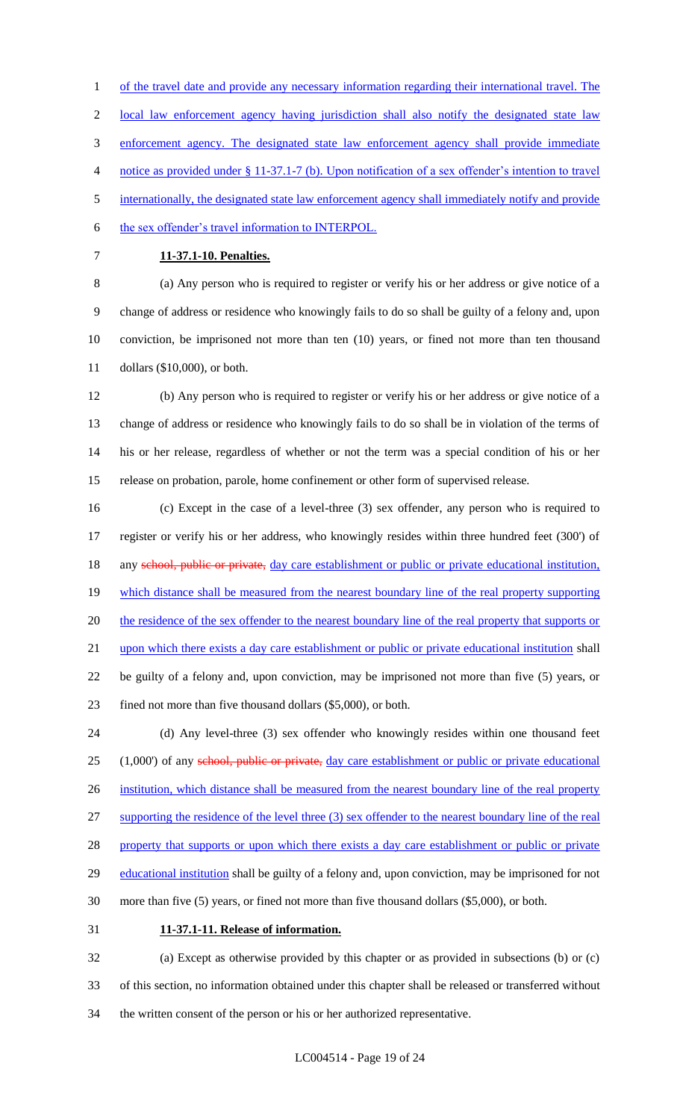1 of the travel date and provide any necessary information regarding their international travel. The

2 local law enforcement agency having jurisdiction shall also notify the designated state law

enforcement agency. The designated state law enforcement agency shall provide immediate

notice as provided under § 11-37.1-7 (b). Upon notification of a sex offender's intention to travel

internationally, the designated state law enforcement agency shall immediately notify and provide

the sex offender's travel information to INTERPOL.

### **11-37.1-10. Penalties.**

 (a) Any person who is required to register or verify his or her address or give notice of a change of address or residence who knowingly fails to do so shall be guilty of a felony and, upon conviction, be imprisoned not more than ten (10) years, or fined not more than ten thousand dollars (\$10,000), or both.

 (b) Any person who is required to register or verify his or her address or give notice of a change of address or residence who knowingly fails to do so shall be in violation of the terms of his or her release, regardless of whether or not the term was a special condition of his or her release on probation, parole, home confinement or other form of supervised release.

 (c) Except in the case of a level-three (3) sex offender, any person who is required to register or verify his or her address, who knowingly resides within three hundred feet (300') of 18 any school, public or private, day care establishment or public or private educational institution, 19 which distance shall be measured from the nearest boundary line of the real property supporting 20 the residence of the sex offender to the nearest boundary line of the real property that supports or upon which there exists a day care establishment or public or private educational institution shall be guilty of a felony and, upon conviction, may be imprisoned not more than five (5) years, or fined not more than five thousand dollars (\$5,000), or both.

 (d) Any level-three (3) sex offender who knowingly resides within one thousand feet 25 (1,000') of any school, public or private, day care establishment or public or private educational 26 institution, which distance shall be measured from the nearest boundary line of the real property supporting the residence of the level three (3) sex offender to the nearest boundary line of the real 28 property that supports or upon which there exists a day care establishment or public or private 29 educational institution shall be guilty of a felony and, upon conviction, may be imprisoned for not more than five (5) years, or fined not more than five thousand dollars (\$5,000), or both. **11-37.1-11. Release of information.**

 (a) Except as otherwise provided by this chapter or as provided in subsections (b) or (c) of this section, no information obtained under this chapter shall be released or transferred without the written consent of the person or his or her authorized representative.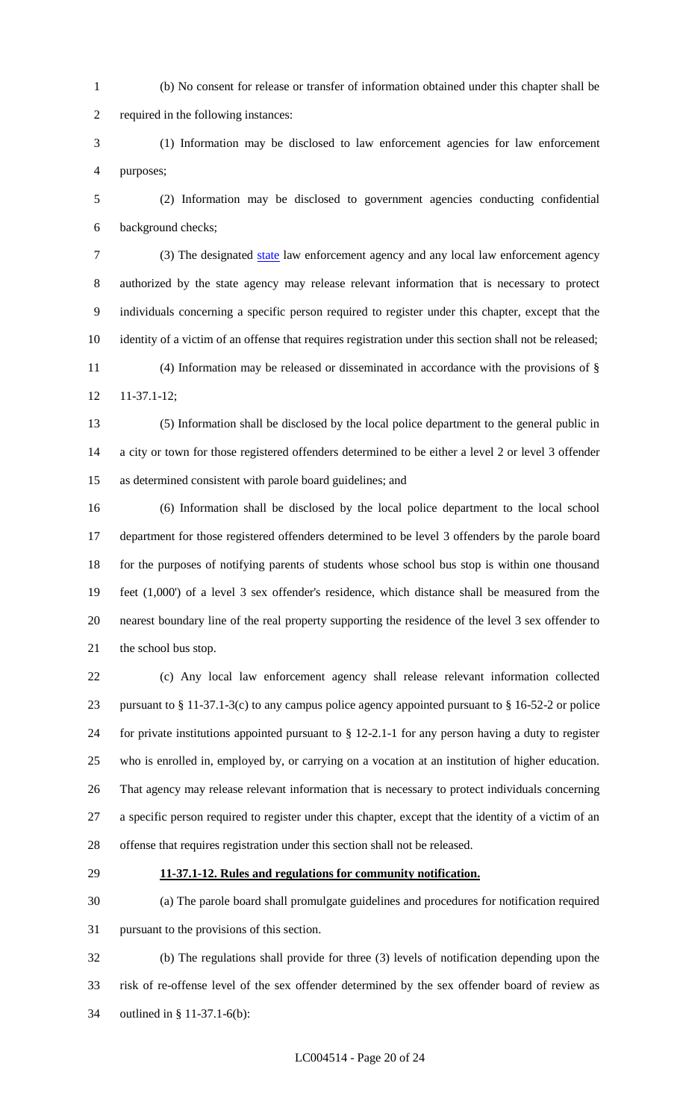(b) No consent for release or transfer of information obtained under this chapter shall be

required in the following instances:

 (1) Information may be disclosed to law enforcement agencies for law enforcement purposes;

 (2) Information may be disclosed to government agencies conducting confidential background checks;

 (3) The designated state law enforcement agency and any local law enforcement agency authorized by the state agency may release relevant information that is necessary to protect individuals concerning a specific person required to register under this chapter, except that the identity of a victim of an offense that requires registration under this section shall not be released;

 (4) Information may be released or disseminated in accordance with the provisions of § 11-37.1-12;

 (5) Information shall be disclosed by the local police department to the general public in a city or town for those registered offenders determined to be either a level 2 or level 3 offender as determined consistent with parole board guidelines; and

 (6) Information shall be disclosed by the local police department to the local school department for those registered offenders determined to be level 3 offenders by the parole board for the purposes of notifying parents of students whose school bus stop is within one thousand feet (1,000') of a level 3 sex offender's residence, which distance shall be measured from the nearest boundary line of the real property supporting the residence of the level 3 sex offender to 21 the school bus stop.

 (c) Any local law enforcement agency shall release relevant information collected pursuant to § 11-37.1-3(c) to any campus police agency appointed pursuant to § 16-52-2 or police for private institutions appointed pursuant to § 12-2.1-1 for any person having a duty to register who is enrolled in, employed by, or carrying on a vocation at an institution of higher education. That agency may release relevant information that is necessary to protect individuals concerning a specific person required to register under this chapter, except that the identity of a victim of an offense that requires registration under this section shall not be released.

### **11-37.1-12. Rules and regulations for community notification.**

 (a) The parole board shall promulgate guidelines and procedures for notification required pursuant to the provisions of this section.

 (b) The regulations shall provide for three (3) levels of notification depending upon the risk of re-offense level of the sex offender determined by the sex offender board of review as outlined in § 11-37.1-6(b):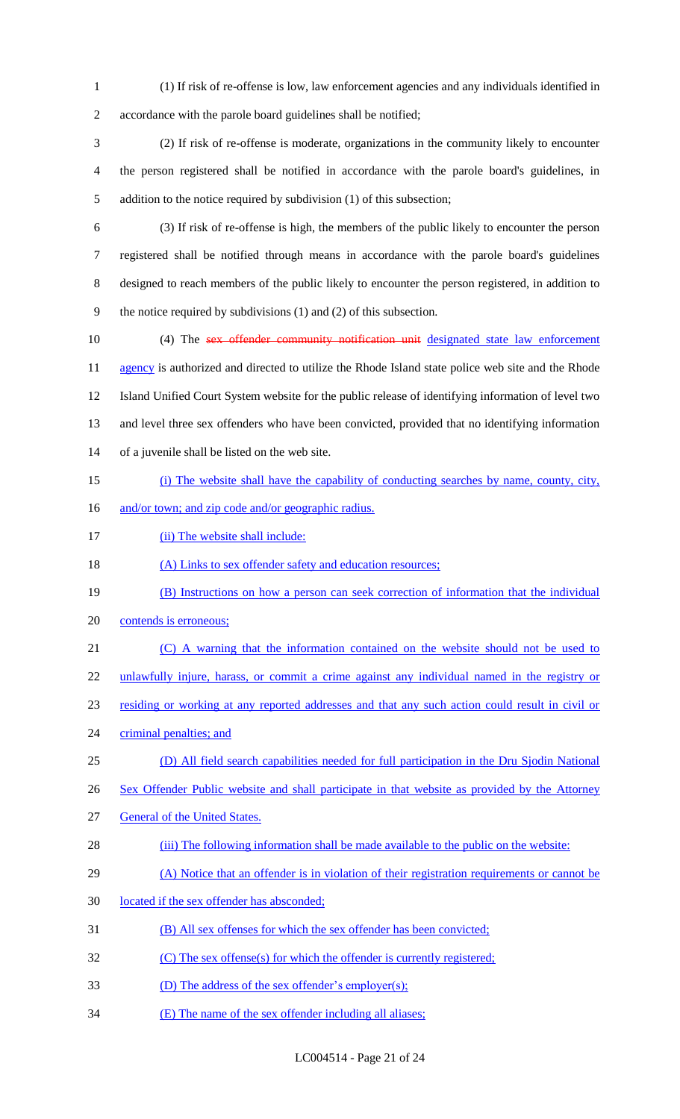(1) If risk of re-offense is low, law enforcement agencies and any individuals identified in accordance with the parole board guidelines shall be notified;

 (2) If risk of re-offense is moderate, organizations in the community likely to encounter the person registered shall be notified in accordance with the parole board's guidelines, in addition to the notice required by subdivision (1) of this subsection;

 (3) If risk of re-offense is high, the members of the public likely to encounter the person registered shall be notified through means in accordance with the parole board's guidelines designed to reach members of the public likely to encounter the person registered, in addition to the notice required by subdivisions (1) and (2) of this subsection.

10 (4) The sex offender community notification unit designated state law enforcement 11 agency is authorized and directed to utilize the Rhode Island state police web site and the Rhode Island Unified Court System website for the public release of identifying information of level two and level three sex offenders who have been convicted, provided that no identifying information of a juvenile shall be listed on the web site.

- (i) The website shall have the capability of conducting searches by name, county, city,
- 16 and/or town; and zip code and/or geographic radius.
- 17 (ii) The website shall include:

18 (A) Links to sex offender safety and education resources;

- (B) Instructions on how a person can seek correction of information that the individual
- contends is erroneous;
- (C) A warning that the information contained on the website should not be used to

22 unlawfully injure, harass, or commit a crime against any individual named in the registry or

residing or working at any reported addresses and that any such action could result in civil or

- 24 criminal penalties; and
- (D) All field search capabilities needed for full participation in the Dru Sjodin National
- 26 Sex Offender Public website and shall participate in that website as provided by the Attorney
- General of the United States.
- 28 (iii) The following information shall be made available to the public on the website:
- 29 (A) Notice that an offender is in violation of their registration requirements or cannot be
- located if the sex offender has absconded;
- (B) All sex offenses for which the sex offender has been convicted;
- 32 (C) The sex offense(s) for which the offender is currently registered;
- (D) The address of the sex offender's employer(s);
- (E) The name of the sex offender including all aliases;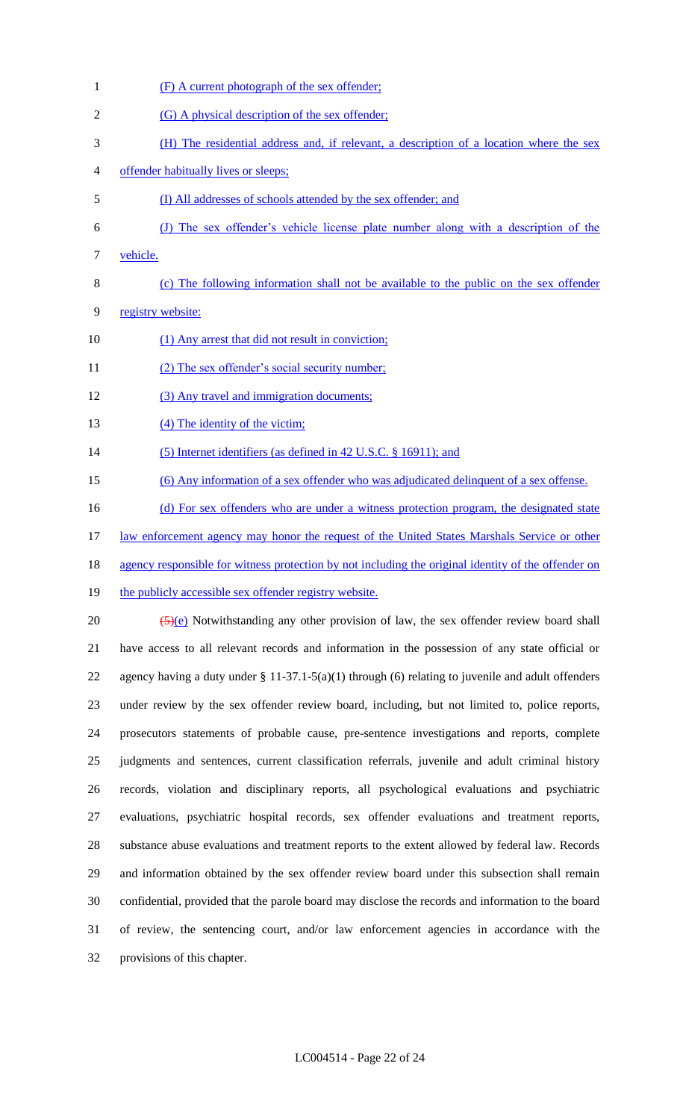- (F) A current photograph of the sex offender; (G) A physical description of the sex offender; (H) The residential address and, if relevant, a description of a location where the sex offender habitually lives or sleeps; (I) All addresses of schools attended by the sex offender; and (J) The sex offender's vehicle license plate number along with a description of the vehicle. (c) The following information shall not be available to the public on the sex offender registry website: 10 (1) Any arrest that did not result in conviction; 11 (2) The sex offender's social security number; (3) Any travel and immigration documents; 13 (4) The identity of the victim; 14 (5) Internet identifiers (as defined in 42 U.S.C. § 16911); and (6) Any information of a sex offender who was adjudicated delinquent of a sex offense. 16 (d) For sex offenders who are under a witness protection program, the designated state 17 law enforcement agency may honor the request of the United States Marshals Service or other agency responsible for witness protection by not including the original identity of the offender on 19 the publicly accessible sex offender registry website. 20  $\left(\frac{5}{(e)}\right)$  Notwithstanding any other provision of law, the sex offender review board shall have access to all relevant records and information in the possession of any state official or agency having a duty under § 11-37.1-5(a)(1) through (6) relating to juvenile and adult offenders under review by the sex offender review board, including, but not limited to, police reports, prosecutors statements of probable cause, pre-sentence investigations and reports, complete judgments and sentences, current classification referrals, juvenile and adult criminal history records, violation and disciplinary reports, all psychological evaluations and psychiatric evaluations, psychiatric hospital records, sex offender evaluations and treatment reports, substance abuse evaluations and treatment reports to the extent allowed by federal law. Records and information obtained by the sex offender review board under this subsection shall remain
- of review, the sentencing court, and/or law enforcement agencies in accordance with the provisions of this chapter.

confidential, provided that the parole board may disclose the records and information to the board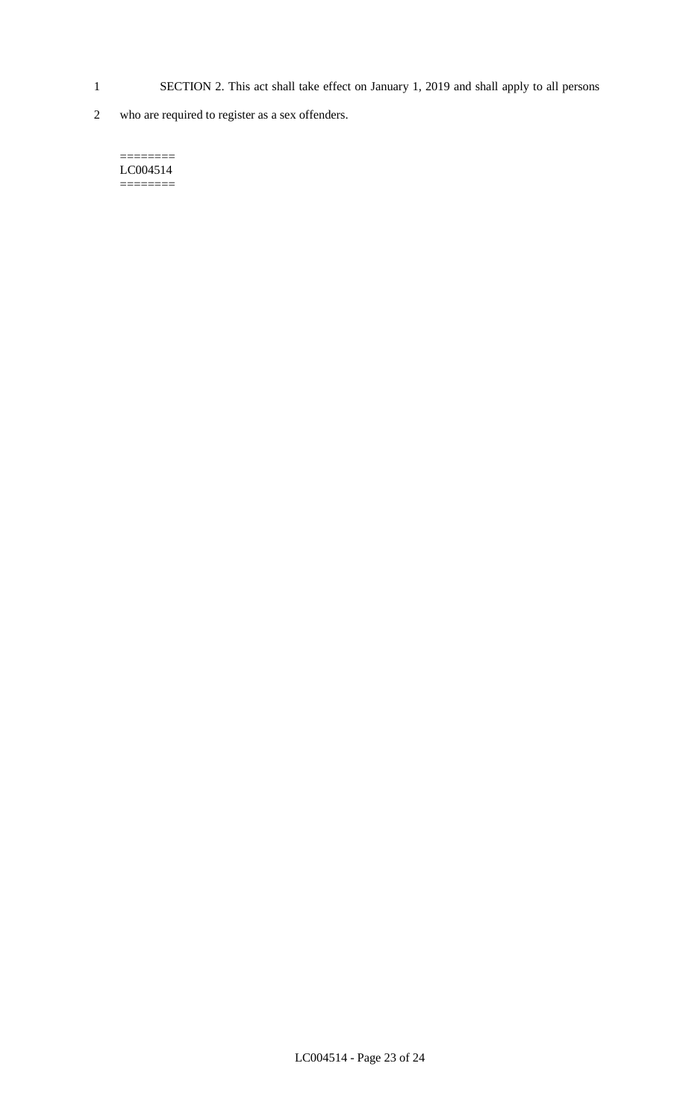- 1 SECTION 2. This act shall take effect on January 1, 2019 and shall apply to all persons
- 2 who are required to register as a sex offenders.

======== LC004514  $=$